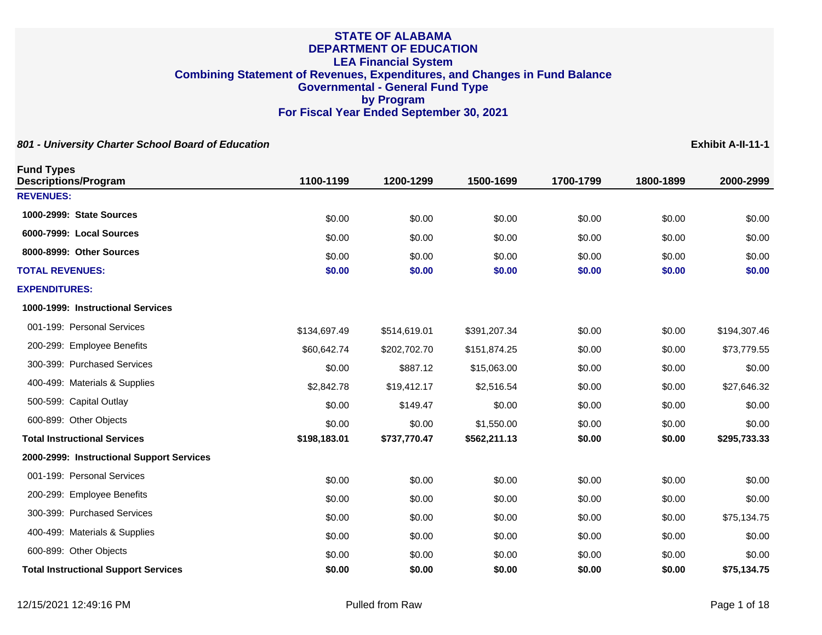| 801 - University Charter School Board of Education |              |              |              |           |           | Exhibit A-II-11-1 |
|----------------------------------------------------|--------------|--------------|--------------|-----------|-----------|-------------------|
| <b>Fund Types</b><br><b>Descriptions/Program</b>   | 1100-1199    | 1200-1299    | 1500-1699    | 1700-1799 | 1800-1899 | 2000-2999         |
| <b>REVENUES:</b>                                   |              |              |              |           |           |                   |
| 1000-2999: State Sources                           | \$0.00       | \$0.00       | \$0.00       | \$0.00    | \$0.00    | \$0.00            |
| 6000-7999: Local Sources                           | \$0.00       | \$0.00       | \$0.00       | \$0.00    | \$0.00    | \$0.00            |
| 8000-8999: Other Sources                           | \$0.00       | \$0.00       | \$0.00       | \$0.00    | \$0.00    | \$0.00            |
| <b>TOTAL REVENUES:</b>                             | \$0.00       | \$0.00       | \$0.00       | \$0.00    | \$0.00    | \$0.00            |
| <b>EXPENDITURES:</b>                               |              |              |              |           |           |                   |
| 1000-1999: Instructional Services                  |              |              |              |           |           |                   |
| 001-199: Personal Services                         | \$134,697.49 | \$514,619.01 | \$391,207.34 | \$0.00    | \$0.00    | \$194,307.46      |
| 200-299: Employee Benefits                         | \$60,642.74  | \$202,702.70 | \$151,874.25 | \$0.00    | \$0.00    | \$73,779.55       |
| 300-399: Purchased Services                        | \$0.00       | \$887.12     | \$15,063.00  | \$0.00    | \$0.00    | \$0.00            |
| 400-499: Materials & Supplies                      | \$2,842.78   | \$19,412.17  | \$2,516.54   | \$0.00    | \$0.00    | \$27,646.32       |
| 500-599: Capital Outlay                            | \$0.00       | \$149.47     | \$0.00       | \$0.00    | \$0.00    | \$0.00            |
| 600-899: Other Objects                             | \$0.00       | \$0.00       | \$1,550.00   | \$0.00    | \$0.00    | \$0.00            |
| <b>Total Instructional Services</b>                | \$198,183.01 | \$737,770.47 | \$562,211.13 | \$0.00    | \$0.00    | \$295,733.33      |
| 2000-2999: Instructional Support Services          |              |              |              |           |           |                   |
| 001-199: Personal Services                         | \$0.00       | \$0.00       | \$0.00       | \$0.00    | \$0.00    | \$0.00            |
| 200-299: Employee Benefits                         | \$0.00       | \$0.00       | \$0.00       | \$0.00    | \$0.00    | \$0.00            |
| 300-399: Purchased Services                        | \$0.00       | \$0.00       | \$0.00       | \$0.00    | \$0.00    | \$75,134.75       |
| 400-499: Materials & Supplies                      | \$0.00       | \$0.00       | \$0.00       | \$0.00    | \$0.00    | \$0.00            |
| 600-899: Other Objects                             | \$0.00       | \$0.00       | \$0.00       | \$0.00    | \$0.00    | \$0.00            |
| <b>Total Instructional Support Services</b>        | \$0.00       | \$0.00       | \$0.00       | \$0.00    | \$0.00    | \$75,134.75       |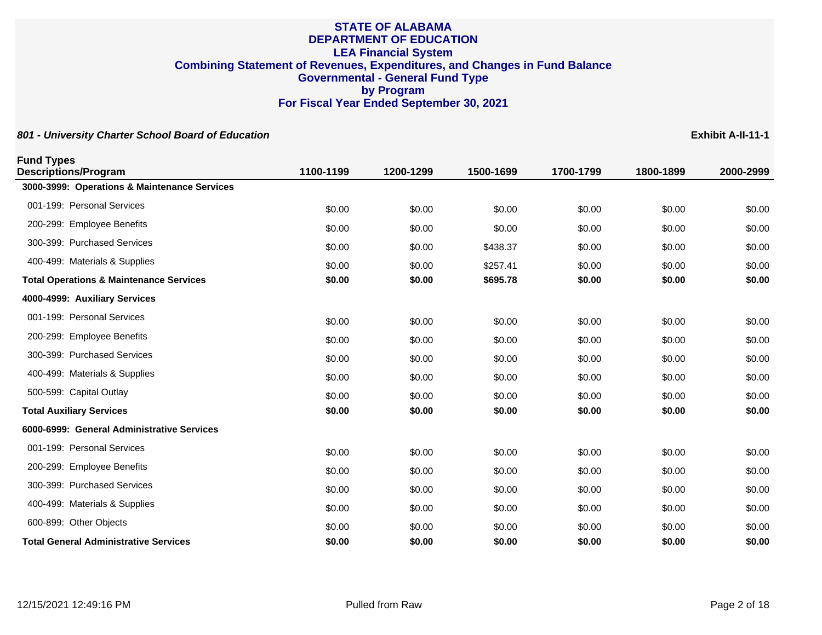**801 - University Charter School Board of Education Exhibit A-II-11-1**

**Fund Types Descriptions/Program 1100-1199 1200-1299 1500-1699 1700-1799 1800-1899 2000-2999 3000-3999: Operations & Maintenance Services** 001-199: Personal Services \$0.00 \$0.00 \$0.00 \$0.00 \$0.00 200-299: Employee Benefits **60.00** \$0.00 \$0.00 \$0.00 \$0.00 \$0.00 \$0.00 \$0.00 \$0.00 \$0.00 300-399: Purchased Services \$0.00 \$0.00 \$438.37 \$0.00 \$0.00 \$0.00 400-499: Materials & Supplies 6.00 \$0.00 \$0.00 \$257.41 \$0.00 \$0.00 \$0.00 \$0.00 \$0.00 **Total Operations & Maintenance Services \$0.00 \$0.00 \$695.78 \$0.00 \$0.00 \$0.00 4000-4999: Auxiliary Services** 001-199: Personal Services \$0.00 \$0.00 \$0.00 \$0.00 \$0.00 200-299: Employee Benefits **60.00** \$0.00 \$0.00 \$0.00 \$0.00 \$0.00 \$0.00 \$0.00 \$0.00 \$0.00 300-399: Purchased Services \$0.00 \$0.00 \$0.00 \$0.00 \$0.00 400-499: Materials & Supplies 6.00 \$0.00 \$0.00 \$0.00 \$0.00 \$0.00 \$0.00 \$0.00 \$0.00 \$0.00 \$0.00 500-599: Capital Outlay \$0.00 \$0.00 \$0.00 \$0.00 \$0.00 **Total Auxiliary Services \$0.00 \$0.00 \$0.00 \$0.00 \$0.00 \$0.00 6000-6999: General Administrative Services** 001-199: Personal Services \$0.00 \$0.00 \$0.00 \$0.00 \$0.00 200-299: Employee Benefits **60.00** \$0.00 \$0.00 \$0.00 \$0.00 \$0.00 \$0.00 \$0.00 \$0.00 \$0.00 300-399: Purchased Services 60.00 \$0.00 \$0.00 \$0.00 \$0.00 \$0.00 \$0.00 \$0.00 \$0.00 \$0.00 \$0.00 400-499: Materials & Supplies 60.00 \$0.00 \$0.00 \$0.00 \$0.00 \$0.00 \$0.00 \$0.00 \$0.00 \$0.00 \$0.00 600-899: Other Objects \$0.00 \$0.00 \$0.00 \$0.00 \$0.00 \$0.00 **Total General Administrative Services \$0.00 \$0.00 \$0.00 \$0.00 \$0.00 \$0.00**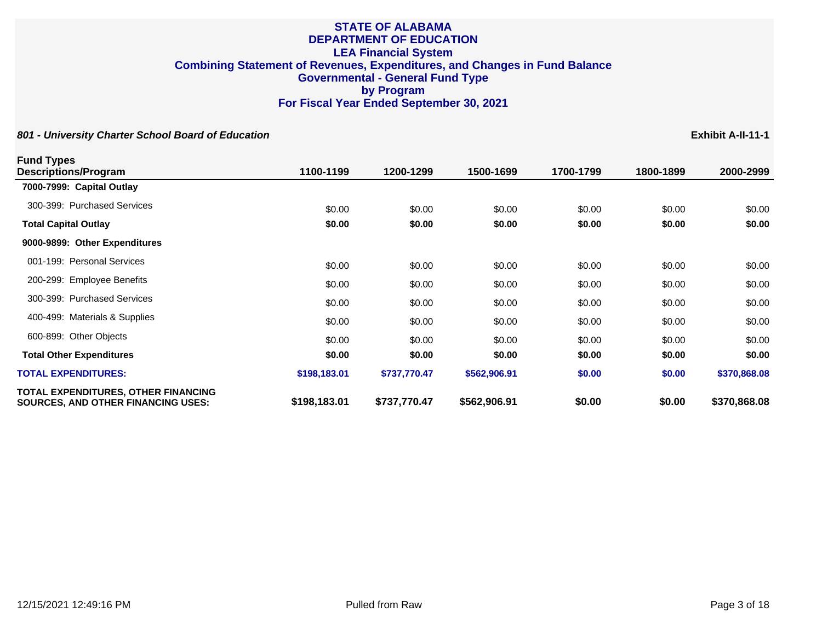| <b>Fund Types</b>                                                                |              |              |              |           |           |              |
|----------------------------------------------------------------------------------|--------------|--------------|--------------|-----------|-----------|--------------|
| Descriptions/Program                                                             | 1100-1199    | 1200-1299    | 1500-1699    | 1700-1799 | 1800-1899 | 2000-2999    |
| 7000-7999: Capital Outlay                                                        |              |              |              |           |           |              |
| 300-399: Purchased Services                                                      | \$0.00       | \$0.00       | \$0.00       | \$0.00    | \$0.00    | \$0.00       |
| <b>Total Capital Outlay</b>                                                      | \$0.00       | \$0.00       | \$0.00       | \$0.00    | \$0.00    | \$0.00       |
| 9000-9899: Other Expenditures                                                    |              |              |              |           |           |              |
| 001-199: Personal Services                                                       | \$0.00       | \$0.00       | \$0.00       | \$0.00    | \$0.00    | \$0.00       |
| 200-299: Employee Benefits                                                       | \$0.00       | \$0.00       | \$0.00       | \$0.00    | \$0.00    | \$0.00       |
| 300-399: Purchased Services                                                      | \$0.00       | \$0.00       | \$0.00       | \$0.00    | \$0.00    | \$0.00       |
| 400-499: Materials & Supplies                                                    | \$0.00       | \$0.00       | \$0.00       | \$0.00    | \$0.00    | \$0.00       |
| 600-899: Other Objects                                                           | \$0.00       | \$0.00       | \$0.00       | \$0.00    | \$0.00    | \$0.00       |
| <b>Total Other Expenditures</b>                                                  | \$0.00       | \$0.00       | \$0.00       | \$0.00    | \$0.00    | \$0.00       |
| <b>TOTAL EXPENDITURES:</b>                                                       | \$198,183.01 | \$737,770.47 | \$562,906.91 | \$0.00    | \$0.00    | \$370,868.08 |
| TOTAL EXPENDITURES, OTHER FINANCING<br><b>SOURCES, AND OTHER FINANCING USES:</b> | \$198,183.01 | \$737,770.47 | \$562,906.91 | \$0.00    | \$0.00    | \$370,868.08 |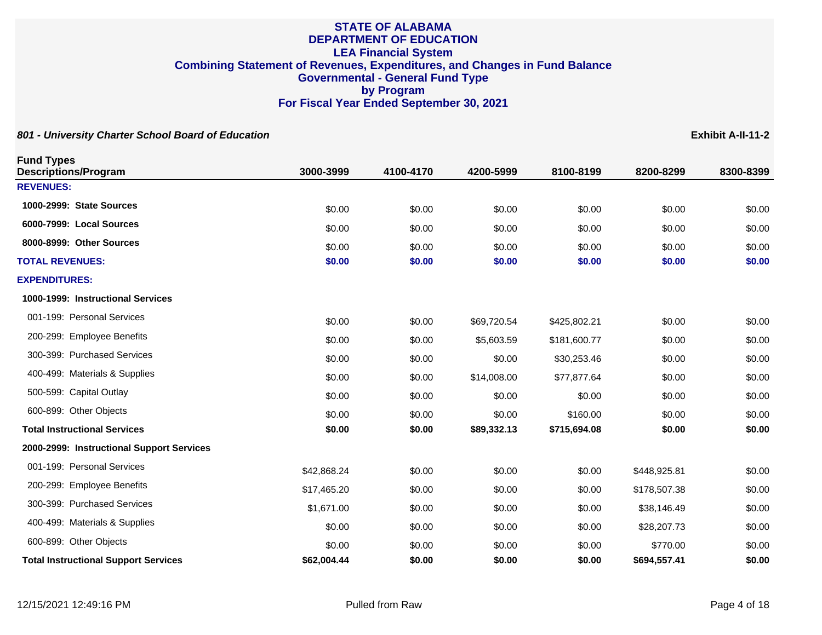| <b>Fund Types</b><br><b>Descriptions/Program</b> | 3000-3999   | 4100-4170 | 4200-5999   | 8100-8199    | 8200-8299    | 8300-8399 |
|--------------------------------------------------|-------------|-----------|-------------|--------------|--------------|-----------|
| <b>REVENUES:</b>                                 |             |           |             |              |              |           |
| 1000-2999: State Sources                         | \$0.00      | \$0.00    | \$0.00      | \$0.00       | \$0.00       | \$0.00    |
| 6000-7999: Local Sources                         | \$0.00      | \$0.00    | \$0.00      | \$0.00       | \$0.00       | \$0.00    |
| 8000-8999: Other Sources                         | \$0.00      | \$0.00    | \$0.00      | \$0.00       | \$0.00       | \$0.00    |
| <b>TOTAL REVENUES:</b>                           | \$0.00      | \$0.00    | \$0.00      | \$0.00       | \$0.00       | \$0.00    |
| <b>EXPENDITURES:</b>                             |             |           |             |              |              |           |
| 1000-1999: Instructional Services                |             |           |             |              |              |           |
| 001-199: Personal Services                       | \$0.00      | \$0.00    | \$69,720.54 | \$425,802.21 | \$0.00       | \$0.00    |
| 200-299: Employee Benefits                       | \$0.00      | \$0.00    | \$5,603.59  | \$181,600.77 | \$0.00       | \$0.00    |
| 300-399: Purchased Services                      | \$0.00      | \$0.00    | \$0.00      | \$30,253.46  | \$0.00       | \$0.00    |
| 400-499: Materials & Supplies                    | \$0.00      | \$0.00    | \$14,008.00 | \$77,877.64  | \$0.00       | \$0.00    |
| 500-599: Capital Outlay                          | \$0.00      | \$0.00    | \$0.00      | \$0.00       | \$0.00       | \$0.00    |
| 600-899: Other Objects                           | \$0.00      | \$0.00    | \$0.00      | \$160.00     | \$0.00       | \$0.00    |
| <b>Total Instructional Services</b>              | \$0.00      | \$0.00    | \$89,332.13 | \$715,694.08 | \$0.00       | \$0.00    |
| 2000-2999: Instructional Support Services        |             |           |             |              |              |           |
| 001-199: Personal Services                       | \$42,868.24 | \$0.00    | \$0.00      | \$0.00       | \$448,925.81 | \$0.00    |
| 200-299: Employee Benefits                       | \$17,465.20 | \$0.00    | \$0.00      | \$0.00       | \$178,507.38 | \$0.00    |
| 300-399: Purchased Services                      | \$1,671.00  | \$0.00    | \$0.00      | \$0.00       | \$38,146.49  | \$0.00    |
| 400-499: Materials & Supplies                    | \$0.00      | \$0.00    | \$0.00      | \$0.00       | \$28,207.73  | \$0.00    |
| 600-899: Other Objects                           | \$0.00      | \$0.00    | \$0.00      | \$0.00       | \$770.00     | \$0.00    |
| <b>Total Instructional Support Services</b>      | \$62,004.44 | \$0.00    | \$0.00      | \$0.00       | \$694,557.41 | \$0.00    |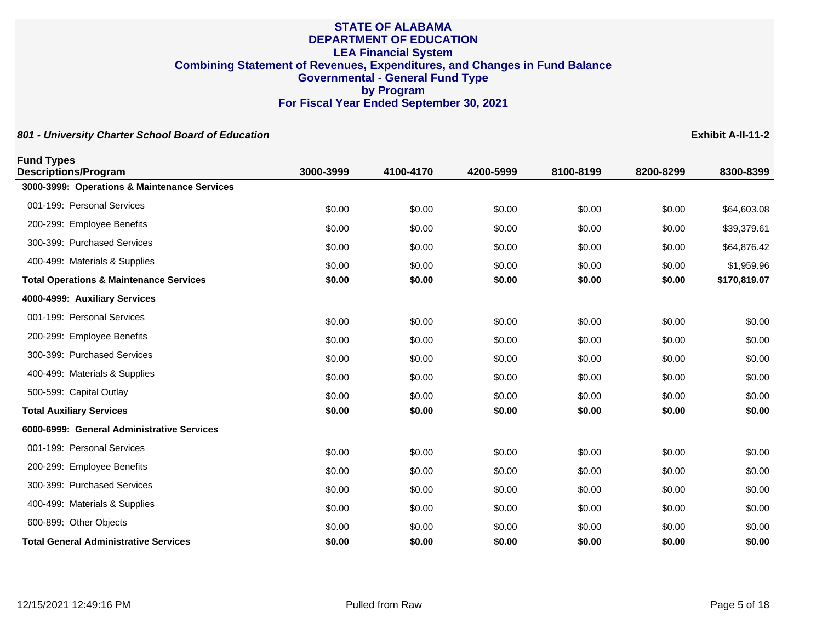**801 - University Charter School Board of Education Exhibit A-II-11-2**

**Fund Types Descriptions/Program 3000-3999 4100-4170 4200-5999 8100-8199 8200-8299 8300-8399 3000-3999: Operations & Maintenance Services** 001-199: Personal Services \$0.00 \$0.00 \$0.00 \$0.00 \$64,603.08 200-299: Employee Benefits **60.00** \$0.00 \$199,379,61 \$0.00 \$0.00 \$0.00 \$0.00 \$0.00 \$39,379.61 300-399: Purchased Services \$0.00 \$0.00 \$0.00 \$0.00 \$64,876.42 400-499: Materials & Supplies **60.00** \$0.00 \$0.00 \$0.00 \$0.00 \$0.00 \$0.00 \$1,959.96 **Total Operations & Maintenance Services \$0.00 \$0.00 \$0.00 \$0.00 \$0.00 \$170,819.07 4000-4999: Auxiliary Services** 001-199: Personal Services \$0.00 \$0.00 \$0.00 \$0.00 \$0.00 200-299: Employee Benefits **60.00** \$0.00 \$0.00 \$0.00 \$0.00 \$0.00 \$0.00 \$0.00 \$0.00 \$0.00 300-399: Purchased Services \$0.00 \$0.00 \$0.00 \$0.00 \$0.00 400-499: Materials & Supplies 6.00 \$0.00 \$0.00 \$0.00 \$0.00 \$0.00 \$0.00 \$0.00 \$0.00 \$0.00 \$0.00 500-599: Capital Outlay \$0.00 \$0.00 \$0.00 \$0.00 \$0.00 **Total Auxiliary Services \$0.00 \$0.00 \$0.00 \$0.00 \$0.00 \$0.00 6000-6999: General Administrative Services** 001-199: Personal Services \$0.00 \$0.00 \$0.00 \$0.00 \$0.00 200-299: Employee Benefits **60.00** \$0.00 \$0.00 \$0.00 \$0.00 \$0.00 \$0.00 \$0.00 \$0.00 \$0.00 300-399: Purchased Services 60.00 \$0.00 \$0.00 \$0.00 \$0.00 \$0.00 \$0.00 \$0.00 \$0.00 \$0.00 \$0.00 400-499: Materials & Supplies 60.00 \$0.00 \$0.00 \$0.00 \$0.00 \$0.00 \$0.00 \$0.00 \$0.00 \$0.00 \$0.00 600-899: Other Objects \$0.00 \$0.00 \$0.00 \$0.00 \$0.00 \$0.00 **Total General Administrative Services \$0.00 \$0.00 \$0.00 \$0.00 \$0.00 \$0.00**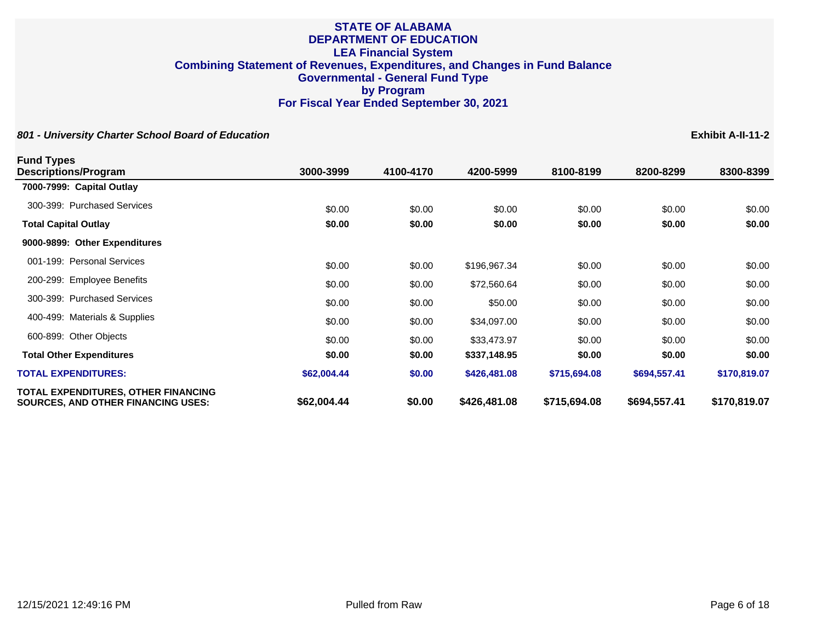| <b>Fund Types</b>                                                                       |             |           |              |              |              |              |
|-----------------------------------------------------------------------------------------|-------------|-----------|--------------|--------------|--------------|--------------|
| Descriptions/Program                                                                    | 3000-3999   | 4100-4170 | 4200-5999    | 8100-8199    | 8200-8299    | 8300-8399    |
| 7000-7999: Capital Outlay                                                               |             |           |              |              |              |              |
| 300-399: Purchased Services                                                             | \$0.00      | \$0.00    | \$0.00       | \$0.00       | \$0.00       | \$0.00       |
| <b>Total Capital Outlay</b>                                                             | \$0.00      | \$0.00    | \$0.00       | \$0.00       | \$0.00       | \$0.00       |
| 9000-9899: Other Expenditures                                                           |             |           |              |              |              |              |
| 001-199: Personal Services                                                              | \$0.00      | \$0.00    | \$196,967.34 | \$0.00       | \$0.00       | \$0.00       |
| 200-299: Employee Benefits                                                              | \$0.00      | \$0.00    | \$72,560.64  | \$0.00       | \$0.00       | \$0.00       |
| 300-399: Purchased Services                                                             | \$0.00      | \$0.00    | \$50.00      | \$0.00       | \$0.00       | \$0.00       |
| 400-499: Materials & Supplies                                                           | \$0.00      | \$0.00    | \$34,097.00  | \$0.00       | \$0.00       | \$0.00       |
| 600-899: Other Objects                                                                  | \$0.00      | \$0.00    | \$33,473.97  | \$0.00       | \$0.00       | \$0.00       |
| <b>Total Other Expenditures</b>                                                         | \$0.00      | \$0.00    | \$337,148.95 | \$0.00       | \$0.00       | \$0.00       |
| <b>TOTAL EXPENDITURES:</b>                                                              | \$62,004.44 | \$0.00    | \$426,481.08 | \$715,694.08 | \$694,557.41 | \$170,819.07 |
| <b>TOTAL EXPENDITURES, OTHER FINANCING</b><br><b>SOURCES, AND OTHER FINANCING USES:</b> | \$62,004.44 | \$0.00    | \$426,481.08 | \$715,694.08 | \$694,557.41 | \$170,819.07 |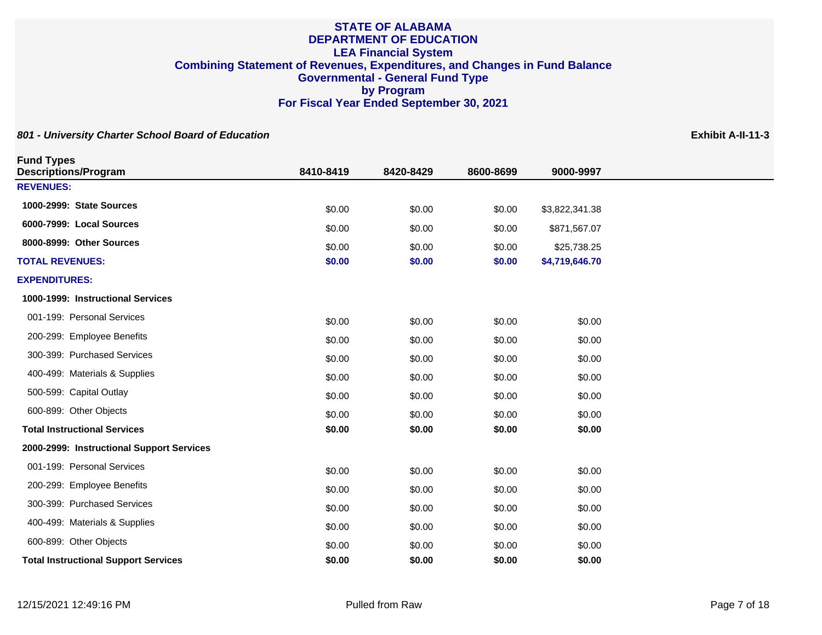| <b>Fund Types</b><br><b>Descriptions/Program</b> | 8410-8419 | 8420-8429 | 8600-8699 | 9000-9997      |
|--------------------------------------------------|-----------|-----------|-----------|----------------|
| <b>REVENUES:</b>                                 |           |           |           |                |
| 1000-2999: State Sources                         |           |           |           |                |
| 6000-7999: Local Sources                         | \$0.00    | \$0.00    | \$0.00    | \$3,822,341.38 |
|                                                  | \$0.00    | \$0.00    | \$0.00    | \$871,567.07   |
| 8000-8999: Other Sources                         | \$0.00    | \$0.00    | \$0.00    | \$25,738.25    |
| <b>TOTAL REVENUES:</b>                           | \$0.00    | \$0.00    | \$0.00    | \$4,719,646.70 |
| <b>EXPENDITURES:</b>                             |           |           |           |                |
| 1000-1999: Instructional Services                |           |           |           |                |
| 001-199: Personal Services                       | \$0.00    | \$0.00    | \$0.00    | \$0.00         |
| 200-299: Employee Benefits                       | \$0.00    | \$0.00    | \$0.00    | \$0.00         |
| 300-399: Purchased Services                      | \$0.00    | \$0.00    | \$0.00    | \$0.00         |
| 400-499: Materials & Supplies                    | \$0.00    | \$0.00    | \$0.00    | \$0.00         |
| 500-599: Capital Outlay                          | \$0.00    | \$0.00    | \$0.00    | \$0.00         |
| 600-899: Other Objects                           | \$0.00    | \$0.00    | \$0.00    | \$0.00         |
| <b>Total Instructional Services</b>              | \$0.00    | \$0.00    | \$0.00    | \$0.00         |
| 2000-2999: Instructional Support Services        |           |           |           |                |
| 001-199: Personal Services                       | \$0.00    | \$0.00    | \$0.00    | \$0.00         |
| 200-299: Employee Benefits                       | \$0.00    | \$0.00    | \$0.00    | \$0.00         |
| 300-399: Purchased Services                      | \$0.00    | \$0.00    | \$0.00    | \$0.00         |
| 400-499: Materials & Supplies                    | \$0.00    | \$0.00    | \$0.00    | \$0.00         |
| 600-899: Other Objects                           | \$0.00    | \$0.00    | \$0.00    | \$0.00         |
| <b>Total Instructional Support Services</b>      | \$0.00    | \$0.00    | \$0.00    | \$0.00         |
|                                                  |           |           |           |                |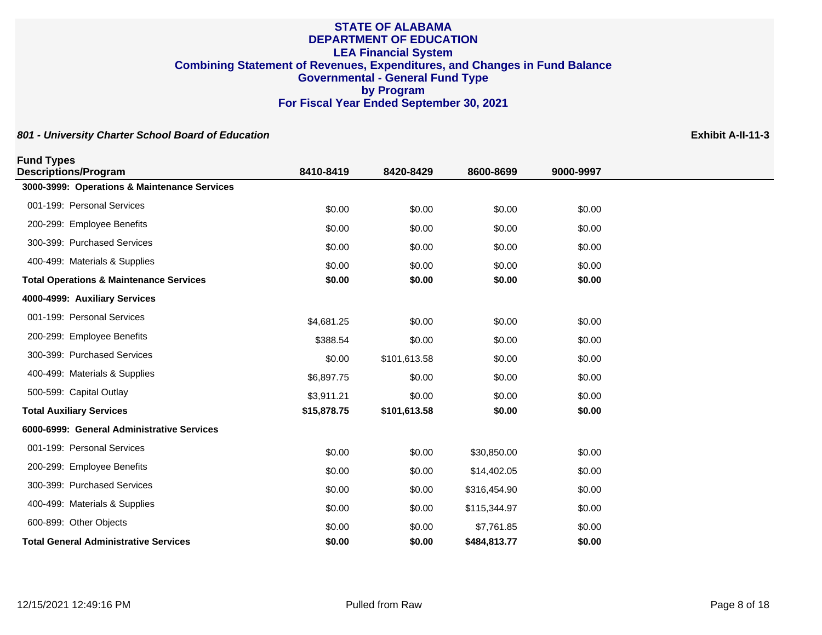| <b>Fund Types</b>                                  |             |              |              |           |
|----------------------------------------------------|-------------|--------------|--------------|-----------|
| <b>Descriptions/Program</b>                        | 8410-8419   | 8420-8429    | 8600-8699    | 9000-9997 |
| 3000-3999: Operations & Maintenance Services       |             |              |              |           |
| 001-199: Personal Services                         | \$0.00      | \$0.00       | \$0.00       | \$0.00    |
| 200-299: Employee Benefits                         | \$0.00      | \$0.00       | \$0.00       | \$0.00    |
| 300-399: Purchased Services                        | \$0.00      | \$0.00       | \$0.00       | \$0.00    |
| 400-499: Materials & Supplies                      | \$0.00      | \$0.00       | \$0.00       | \$0.00    |
| <b>Total Operations &amp; Maintenance Services</b> | \$0.00      | \$0.00       | \$0.00       | \$0.00    |
| 4000-4999: Auxiliary Services                      |             |              |              |           |
| 001-199: Personal Services                         | \$4,681.25  | \$0.00       | \$0.00       | \$0.00    |
| 200-299: Employee Benefits                         | \$388.54    | \$0.00       | \$0.00       | \$0.00    |
| 300-399: Purchased Services                        | \$0.00      | \$101,613.58 | \$0.00       | \$0.00    |
| 400-499: Materials & Supplies                      | \$6,897.75  | \$0.00       | \$0.00       | \$0.00    |
| 500-599: Capital Outlay                            | \$3,911.21  | \$0.00       | \$0.00       | \$0.00    |
| <b>Total Auxiliary Services</b>                    | \$15,878.75 | \$101,613.58 | \$0.00       | \$0.00    |
| 6000-6999: General Administrative Services         |             |              |              |           |
| 001-199: Personal Services                         | \$0.00      | \$0.00       | \$30,850.00  | \$0.00    |
| 200-299: Employee Benefits                         | \$0.00      | \$0.00       | \$14,402.05  | \$0.00    |
| 300-399: Purchased Services                        | \$0.00      | \$0.00       | \$316,454.90 | \$0.00    |
| 400-499: Materials & Supplies                      | \$0.00      | \$0.00       | \$115,344.97 | \$0.00    |
| 600-899: Other Objects                             | \$0.00      | \$0.00       | \$7,761.85   | \$0.00    |
| <b>Total General Administrative Services</b>       | \$0.00      | \$0.00       | \$484,813.77 | \$0.00    |
|                                                    |             |              |              |           |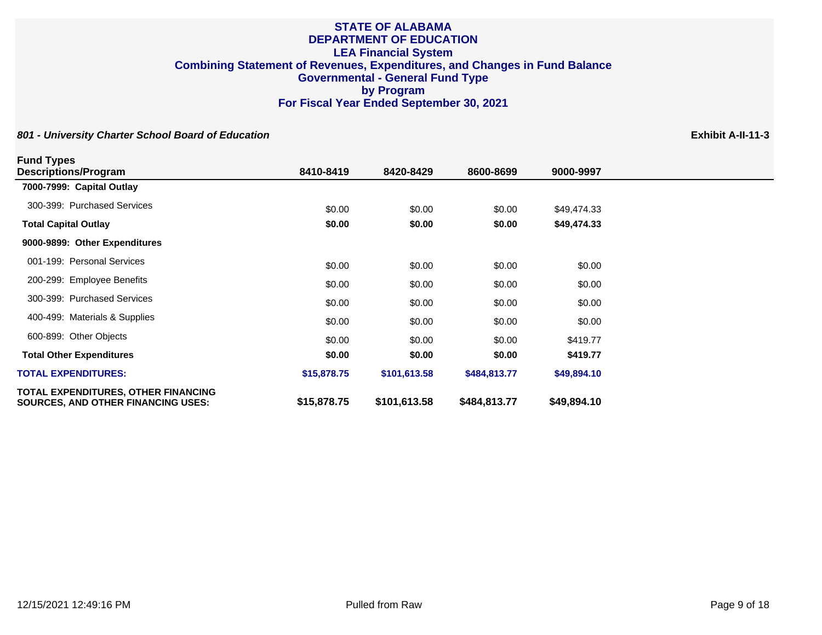| <b>Fund Types</b>                                                                       |             |              |              |             |
|-----------------------------------------------------------------------------------------|-------------|--------------|--------------|-------------|
| <b>Descriptions/Program</b>                                                             | 8410-8419   | 8420-8429    | 8600-8699    | 9000-9997   |
| 7000-7999: Capital Outlay                                                               |             |              |              |             |
| 300-399: Purchased Services                                                             | \$0.00      | \$0.00       | \$0.00       | \$49,474.33 |
| <b>Total Capital Outlay</b>                                                             | \$0.00      | \$0.00       | \$0.00       | \$49,474.33 |
| 9000-9899: Other Expenditures                                                           |             |              |              |             |
| 001-199: Personal Services                                                              | \$0.00      | \$0.00       | \$0.00       | \$0.00      |
| 200-299: Employee Benefits                                                              | \$0.00      | \$0.00       | \$0.00       | \$0.00      |
| 300-399: Purchased Services                                                             | \$0.00      | \$0.00       | \$0.00       | \$0.00      |
| 400-499: Materials & Supplies                                                           | \$0.00      | \$0.00       | \$0.00       | \$0.00      |
| 600-899: Other Objects                                                                  | \$0.00      | \$0.00       | \$0.00       | \$419.77    |
| <b>Total Other Expenditures</b>                                                         | \$0.00      | \$0.00       | \$0.00       | \$419.77    |
| <b>TOTAL EXPENDITURES:</b>                                                              | \$15,878.75 | \$101,613.58 | \$484,813.77 | \$49,894.10 |
| <b>TOTAL EXPENDITURES, OTHER FINANCING</b><br><b>SOURCES, AND OTHER FINANCING USES:</b> | \$15,878.75 | \$101,613.58 | \$484,813.77 | \$49,894.10 |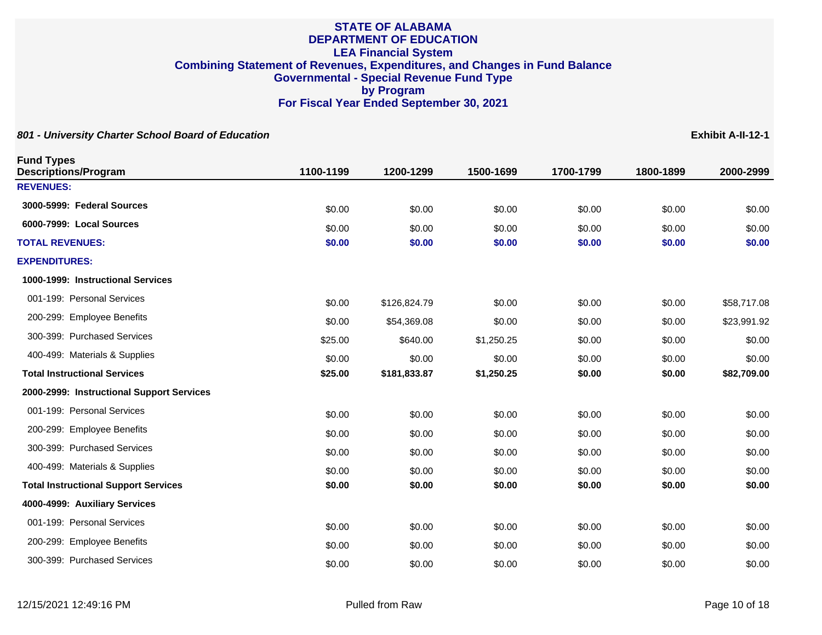| 801 - University Charter School Board of Education |           |              |            |           |           | Exhibit A-II-12-1 |
|----------------------------------------------------|-----------|--------------|------------|-----------|-----------|-------------------|
| <b>Fund Types</b><br><b>Descriptions/Program</b>   | 1100-1199 | 1200-1299    | 1500-1699  | 1700-1799 | 1800-1899 | 2000-2999         |
| <b>REVENUES:</b>                                   |           |              |            |           |           |                   |
| 3000-5999: Federal Sources                         | \$0.00    | \$0.00       | \$0.00     | \$0.00    | \$0.00    | \$0.00            |
| 6000-7999: Local Sources                           | \$0.00    | \$0.00       | \$0.00     | \$0.00    | \$0.00    | \$0.00            |
| <b>TOTAL REVENUES:</b>                             | \$0.00    | \$0.00       | \$0.00     | \$0.00    | \$0.00    | \$0.00            |
| <b>EXPENDITURES:</b>                               |           |              |            |           |           |                   |
| 1000-1999: Instructional Services                  |           |              |            |           |           |                   |
| 001-199: Personal Services                         | \$0.00    | \$126,824.79 | \$0.00     | \$0.00    | \$0.00    | \$58,717.08       |
| 200-299: Employee Benefits                         | \$0.00    | \$54,369.08  | \$0.00     | \$0.00    | \$0.00    | \$23,991.92       |
| 300-399: Purchased Services                        | \$25.00   | \$640.00     | \$1,250.25 | \$0.00    | \$0.00    | \$0.00            |
| 400-499: Materials & Supplies                      | \$0.00    | \$0.00       | \$0.00     | \$0.00    | \$0.00    | \$0.00            |
| <b>Total Instructional Services</b>                | \$25.00   | \$181,833.87 | \$1,250.25 | \$0.00    | \$0.00    | \$82,709.00       |
| 2000-2999: Instructional Support Services          |           |              |            |           |           |                   |
| 001-199: Personal Services                         | \$0.00    | \$0.00       | \$0.00     | \$0.00    | \$0.00    | \$0.00            |
| 200-299: Employee Benefits                         | \$0.00    | \$0.00       | \$0.00     | \$0.00    | \$0.00    | \$0.00            |
| 300-399: Purchased Services                        | \$0.00    | \$0.00       | \$0.00     | \$0.00    | \$0.00    | \$0.00            |
| 400-499: Materials & Supplies                      | \$0.00    | \$0.00       | \$0.00     | \$0.00    | \$0.00    | \$0.00            |
| <b>Total Instructional Support Services</b>        | \$0.00    | \$0.00       | \$0.00     | \$0.00    | \$0.00    | \$0.00            |
| 4000-4999: Auxiliary Services                      |           |              |            |           |           |                   |
| 001-199: Personal Services                         | \$0.00    | \$0.00       | \$0.00     | \$0.00    | \$0.00    | \$0.00            |
| 200-299: Employee Benefits                         | \$0.00    | \$0.00       | \$0.00     | \$0.00    | \$0.00    | \$0.00            |
| 300-399: Purchased Services                        | \$0.00    | \$0.00       | \$0.00     | \$0.00    | \$0.00    | \$0.00            |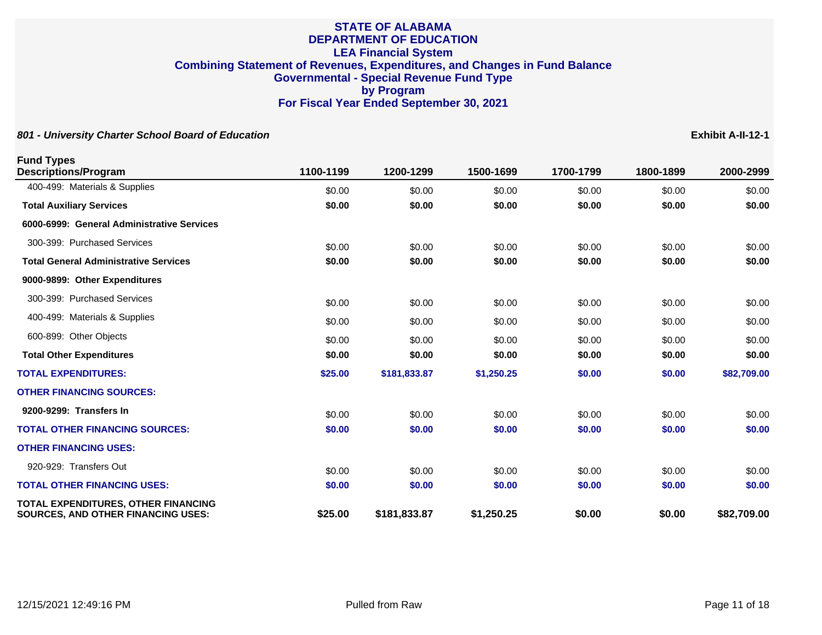| <b>Fund Types</b><br><b>Descriptions/Program</b>                                 | 1100-1199 | 1200-1299    | 1500-1699  | 1700-1799 | 1800-1899 | 2000-2999   |
|----------------------------------------------------------------------------------|-----------|--------------|------------|-----------|-----------|-------------|
| 400-499: Materials & Supplies                                                    | \$0.00    | \$0.00       | \$0.00     | \$0.00    | \$0.00    | \$0.00      |
| <b>Total Auxiliary Services</b>                                                  | \$0.00    | \$0.00       | \$0.00     | \$0.00    | \$0.00    | \$0.00      |
| 6000-6999: General Administrative Services                                       |           |              |            |           |           |             |
| 300-399: Purchased Services                                                      | \$0.00    | \$0.00       | \$0.00     | \$0.00    | \$0.00    | \$0.00      |
| <b>Total General Administrative Services</b>                                     | \$0.00    | \$0.00       | \$0.00     | \$0.00    | \$0.00    | \$0.00      |
| 9000-9899: Other Expenditures                                                    |           |              |            |           |           |             |
| 300-399: Purchased Services                                                      | \$0.00    | \$0.00       | \$0.00     | \$0.00    | \$0.00    | \$0.00      |
| 400-499: Materials & Supplies                                                    | \$0.00    | \$0.00       | \$0.00     | \$0.00    | \$0.00    | \$0.00      |
| 600-899: Other Objects                                                           | \$0.00    | \$0.00       | \$0.00     | \$0.00    | \$0.00    | \$0.00      |
| <b>Total Other Expenditures</b>                                                  | \$0.00    | \$0.00       | \$0.00     | \$0.00    | \$0.00    | \$0.00      |
| <b>TOTAL EXPENDITURES:</b>                                                       | \$25.00   | \$181,833.87 | \$1,250.25 | \$0.00    | \$0.00    | \$82,709.00 |
| <b>OTHER FINANCING SOURCES:</b>                                                  |           |              |            |           |           |             |
| 9200-9299: Transfers In                                                          | \$0.00    | \$0.00       | \$0.00     | \$0.00    | \$0.00    | \$0.00      |
| <b>TOTAL OTHER FINANCING SOURCES:</b>                                            | \$0.00    | \$0.00       | \$0.00     | \$0.00    | \$0.00    | \$0.00      |
| <b>OTHER FINANCING USES:</b>                                                     |           |              |            |           |           |             |
| 920-929: Transfers Out                                                           | \$0.00    | \$0.00       | \$0.00     | \$0.00    | \$0.00    | \$0.00      |
| <b>TOTAL OTHER FINANCING USES:</b>                                               | \$0.00    | \$0.00       | \$0.00     | \$0.00    | \$0.00    | \$0.00      |
| TOTAL EXPENDITURES, OTHER FINANCING<br><b>SOURCES, AND OTHER FINANCING USES:</b> | \$25.00   | \$181,833.87 | \$1,250.25 | \$0.00    | \$0.00    | \$82,709.00 |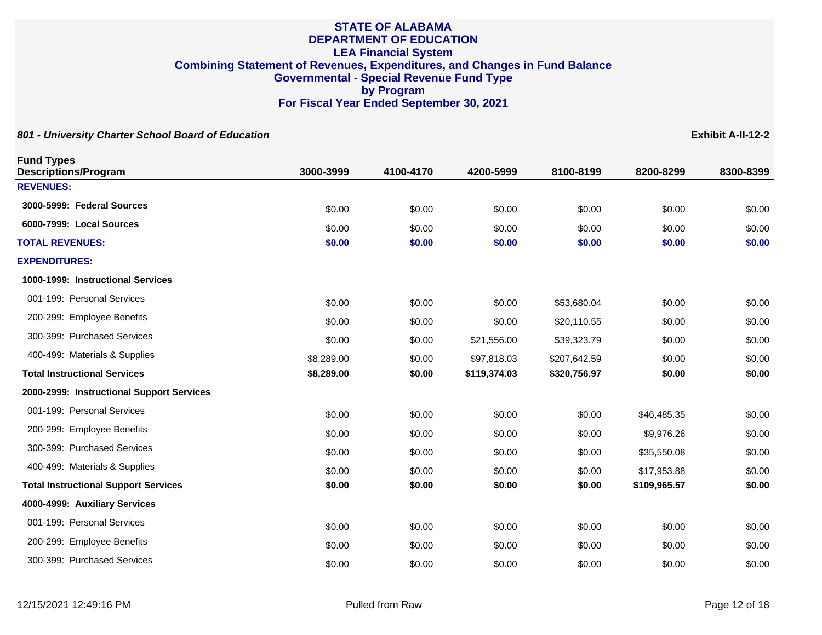| 801 - University Charter School Board of Education |            |           |              |              |              | Exhibit A-II-12-2 |
|----------------------------------------------------|------------|-----------|--------------|--------------|--------------|-------------------|
| <b>Fund Types</b><br><b>Descriptions/Program</b>   | 3000-3999  | 4100-4170 | 4200-5999    | 8100-8199    | 8200-8299    | 8300-8399         |
| <b>REVENUES:</b>                                   |            |           |              |              |              |                   |
| 3000-5999: Federal Sources                         | \$0.00     | \$0.00    | \$0.00       | \$0.00       | \$0.00       | \$0.00            |
| 6000-7999: Local Sources                           | \$0.00     | \$0.00    | \$0.00       | \$0.00       | \$0.00       | \$0.00            |
| <b>TOTAL REVENUES:</b>                             | \$0.00     | \$0.00    | \$0.00       | \$0.00       | \$0.00       | \$0.00            |
| <b>EXPENDITURES:</b>                               |            |           |              |              |              |                   |
| 1000-1999: Instructional Services                  |            |           |              |              |              |                   |
| 001-199: Personal Services                         | \$0.00     | \$0.00    | \$0.00       | \$53,680.04  | \$0.00       | \$0.00            |
| 200-299: Employee Benefits                         | \$0.00     | \$0.00    | \$0.00       | \$20,110.55  | \$0.00       | \$0.00            |
| 300-399: Purchased Services                        | \$0.00     | \$0.00    | \$21,556.00  | \$39,323.79  | \$0.00       | \$0.00            |
| 400-499: Materials & Supplies                      | \$8,289.00 | \$0.00    | \$97,818.03  | \$207,642.59 | \$0.00       | \$0.00            |
| <b>Total Instructional Services</b>                | \$8,289.00 | \$0.00    | \$119,374.03 | \$320,756.97 | \$0.00       | \$0.00            |
| 2000-2999: Instructional Support Services          |            |           |              |              |              |                   |
| 001-199: Personal Services                         | \$0.00     | \$0.00    | \$0.00       | \$0.00       | \$46,485.35  | \$0.00            |
| 200-299: Employee Benefits                         | \$0.00     | \$0.00    | \$0.00       | \$0.00       | \$9,976.26   | \$0.00            |
| 300-399: Purchased Services                        | \$0.00     | \$0.00    | \$0.00       | \$0.00       | \$35,550.08  | \$0.00            |
| 400-499: Materials & Supplies                      | \$0.00     | \$0.00    | \$0.00       | \$0.00       | \$17,953.88  | \$0.00            |
| <b>Total Instructional Support Services</b>        | \$0.00     | \$0.00    | \$0.00       | \$0.00       | \$109,965.57 | \$0.00            |
| 4000-4999: Auxiliary Services                      |            |           |              |              |              |                   |
| 001-199: Personal Services                         | \$0.00     | \$0.00    | \$0.00       | \$0.00       | \$0.00       | \$0.00            |
| 200-299: Employee Benefits                         | \$0.00     | \$0.00    | \$0.00       | \$0.00       | \$0.00       | \$0.00            |
| 300-399: Purchased Services                        | \$0.00     | \$0.00    | \$0.00       | \$0.00       | \$0.00       | \$0.00            |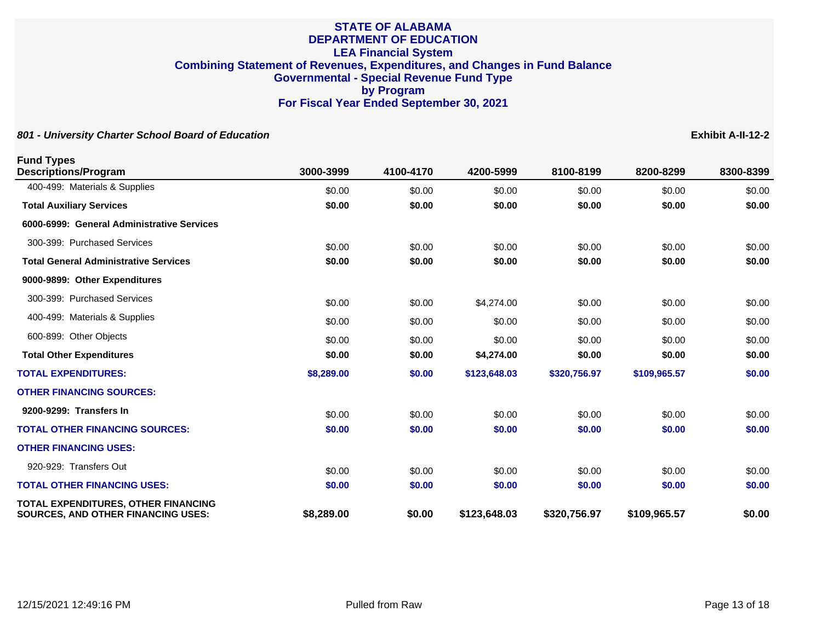| <b>Fund Types</b><br><b>Descriptions/Program</b>                                 | 3000-3999  | 4100-4170 | 4200-5999    | 8100-8199    | 8200-8299    | 8300-8399 |
|----------------------------------------------------------------------------------|------------|-----------|--------------|--------------|--------------|-----------|
| 400-499: Materials & Supplies                                                    | \$0.00     | \$0.00    | \$0.00       | \$0.00       | \$0.00       | \$0.00    |
| <b>Total Auxiliary Services</b>                                                  | \$0.00     | \$0.00    | \$0.00       | \$0.00       | \$0.00       | \$0.00    |
| 6000-6999: General Administrative Services                                       |            |           |              |              |              |           |
| 300-399: Purchased Services                                                      | \$0.00     | \$0.00    | \$0.00       | \$0.00       | \$0.00       | \$0.00    |
| <b>Total General Administrative Services</b>                                     | \$0.00     | \$0.00    | \$0.00       | \$0.00       | \$0.00       | \$0.00    |
| 9000-9899: Other Expenditures                                                    |            |           |              |              |              |           |
| 300-399: Purchased Services                                                      | \$0.00     | \$0.00    | \$4,274.00   | \$0.00       | \$0.00       | \$0.00    |
| 400-499: Materials & Supplies                                                    | \$0.00     | \$0.00    | \$0.00       | \$0.00       | \$0.00       | \$0.00    |
| 600-899: Other Objects                                                           | \$0.00     | \$0.00    | \$0.00       | \$0.00       | \$0.00       | \$0.00    |
| <b>Total Other Expenditures</b>                                                  | \$0.00     | \$0.00    | \$4,274.00   | \$0.00       | \$0.00       | \$0.00    |
| <b>TOTAL EXPENDITURES:</b>                                                       | \$8,289.00 | \$0.00    | \$123,648.03 | \$320,756.97 | \$109,965.57 | \$0.00    |
| <b>OTHER FINANCING SOURCES:</b>                                                  |            |           |              |              |              |           |
| 9200-9299: Transfers In                                                          | \$0.00     | \$0.00    | \$0.00       | \$0.00       | \$0.00       | \$0.00    |
| <b>TOTAL OTHER FINANCING SOURCES:</b>                                            | \$0.00     | \$0.00    | \$0.00       | \$0.00       | \$0.00       | \$0.00    |
| <b>OTHER FINANCING USES:</b>                                                     |            |           |              |              |              |           |
| 920-929: Transfers Out                                                           | \$0.00     | \$0.00    | \$0.00       | \$0.00       | \$0.00       | \$0.00    |
| <b>TOTAL OTHER FINANCING USES:</b>                                               | \$0.00     | \$0.00    | \$0.00       | \$0.00       | \$0.00       | \$0.00    |
| TOTAL EXPENDITURES, OTHER FINANCING<br><b>SOURCES. AND OTHER FINANCING USES:</b> | \$8,289.00 | \$0.00    | \$123,648.03 | \$320,756.97 | \$109,965.57 | \$0.00    |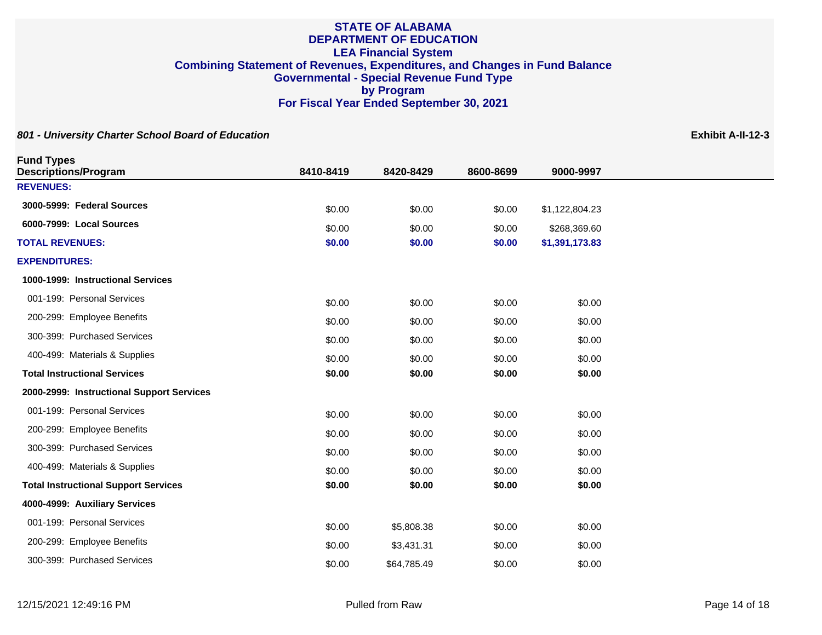| <b>Fund Types</b>                           |           |             |           |                |
|---------------------------------------------|-----------|-------------|-----------|----------------|
| <b>Descriptions/Program</b>                 | 8410-8419 | 8420-8429   | 8600-8699 | 9000-9997      |
| <b>REVENUES:</b>                            |           |             |           |                |
| 3000-5999: Federal Sources                  | \$0.00    | \$0.00      | \$0.00    | \$1,122,804.23 |
| 6000-7999: Local Sources                    | \$0.00    | \$0.00      | \$0.00    | \$268,369.60   |
| <b>TOTAL REVENUES:</b>                      | \$0.00    | \$0.00      | \$0.00    | \$1,391,173.83 |
| <b>EXPENDITURES:</b>                        |           |             |           |                |
| 1000-1999: Instructional Services           |           |             |           |                |
| 001-199: Personal Services                  | \$0.00    | \$0.00      | \$0.00    | \$0.00         |
| 200-299: Employee Benefits                  | \$0.00    | \$0.00      | \$0.00    | \$0.00         |
| 300-399: Purchased Services                 | \$0.00    | \$0.00      | \$0.00    | \$0.00         |
| 400-499: Materials & Supplies               | \$0.00    | \$0.00      | \$0.00    | \$0.00         |
| <b>Total Instructional Services</b>         | \$0.00    | \$0.00      | \$0.00    | \$0.00         |
| 2000-2999: Instructional Support Services   |           |             |           |                |
| 001-199: Personal Services                  | \$0.00    | \$0.00      | \$0.00    | \$0.00         |
| 200-299: Employee Benefits                  | \$0.00    | \$0.00      | \$0.00    | \$0.00         |
| 300-399: Purchased Services                 | \$0.00    | \$0.00      | \$0.00    | \$0.00         |
| 400-499: Materials & Supplies               | \$0.00    | \$0.00      | \$0.00    | \$0.00         |
| <b>Total Instructional Support Services</b> | \$0.00    | \$0.00      | \$0.00    | \$0.00         |
| 4000-4999: Auxiliary Services               |           |             |           |                |
| 001-199: Personal Services                  | \$0.00    | \$5,808.38  | \$0.00    | \$0.00         |
| 200-299: Employee Benefits                  | \$0.00    | \$3,431.31  | \$0.00    | \$0.00         |
| 300-399: Purchased Services                 | \$0.00    | \$64,785.49 | \$0.00    | \$0.00         |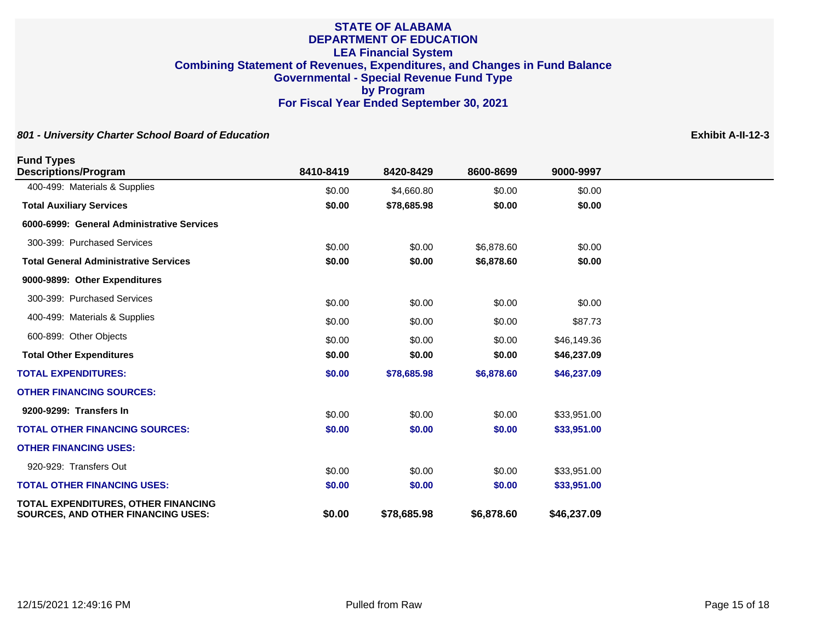| <b>Fund Types</b><br><b>Descriptions/Program</b>                                 | 8410-8419 | 8420-8429   | 8600-8699  | 9000-9997   |
|----------------------------------------------------------------------------------|-----------|-------------|------------|-------------|
| 400-499: Materials & Supplies                                                    | \$0.00    | \$4,660.80  | \$0.00     | \$0.00      |
| <b>Total Auxiliary Services</b>                                                  | \$0.00    | \$78,685.98 | \$0.00     | \$0.00      |
| 6000-6999: General Administrative Services                                       |           |             |            |             |
| 300-399: Purchased Services                                                      | \$0.00    | \$0.00      | \$6,878.60 | \$0.00      |
| <b>Total General Administrative Services</b>                                     | \$0.00    | \$0.00      | \$6,878.60 | \$0.00      |
| 9000-9899: Other Expenditures                                                    |           |             |            |             |
| 300-399: Purchased Services                                                      | \$0.00    | \$0.00      | \$0.00     | \$0.00      |
| 400-499: Materials & Supplies                                                    | \$0.00    | \$0.00      | \$0.00     | \$87.73     |
| 600-899: Other Objects                                                           | \$0.00    | \$0.00      | \$0.00     | \$46,149.36 |
| <b>Total Other Expenditures</b>                                                  | \$0.00    | \$0.00      | \$0.00     | \$46,237.09 |
| <b>TOTAL EXPENDITURES:</b>                                                       | \$0.00    | \$78,685.98 | \$6,878.60 | \$46,237.09 |
| <b>OTHER FINANCING SOURCES:</b>                                                  |           |             |            |             |
| 9200-9299: Transfers In                                                          | \$0.00    | \$0.00      | \$0.00     | \$33,951.00 |
| <b>TOTAL OTHER FINANCING SOURCES:</b>                                            | \$0.00    | \$0.00      | \$0.00     | \$33,951.00 |
| <b>OTHER FINANCING USES:</b>                                                     |           |             |            |             |
| 920-929: Transfers Out                                                           | \$0.00    | \$0.00      | \$0.00     | \$33,951.00 |
| <b>TOTAL OTHER FINANCING USES:</b>                                               | \$0.00    | \$0.00      | \$0.00     | \$33,951.00 |
| TOTAL EXPENDITURES, OTHER FINANCING<br><b>SOURCES, AND OTHER FINANCING USES:</b> | \$0.00    | \$78,685.98 | \$6,878.60 | \$46,237.09 |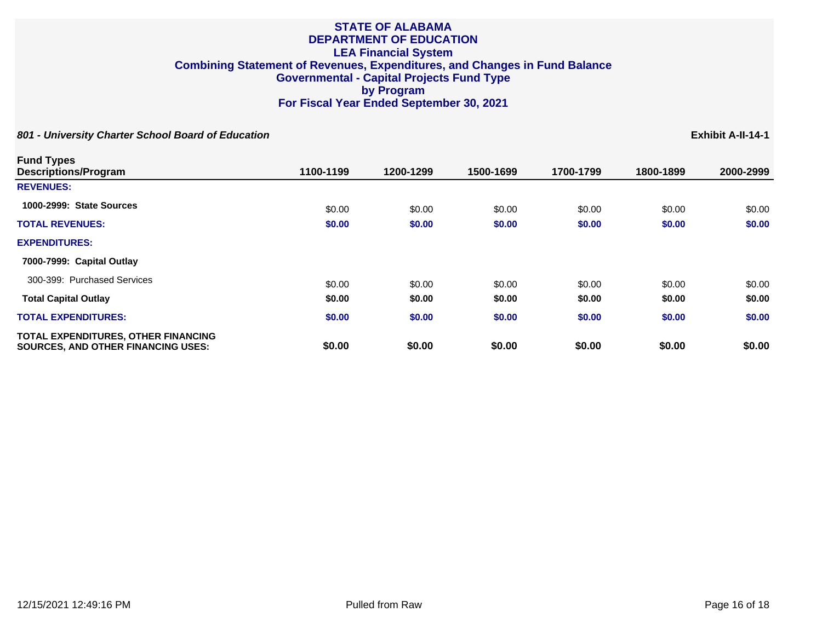| <b>Fund Types</b><br><b>Descriptions/Program</b>                                 | 1100-1199 | 1200-1299 | 1500-1699 | 1700-1799 | 1800-1899 | 2000-2999 |
|----------------------------------------------------------------------------------|-----------|-----------|-----------|-----------|-----------|-----------|
| <b>REVENUES:</b>                                                                 |           |           |           |           |           |           |
| 1000-2999: State Sources                                                         | \$0.00    | \$0.00    | \$0.00    | \$0.00    | \$0.00    | \$0.00    |
| <b>TOTAL REVENUES:</b>                                                           | \$0.00    | \$0.00    | \$0.00    | \$0.00    | \$0.00    | \$0.00    |
| <b>EXPENDITURES:</b>                                                             |           |           |           |           |           |           |
| 7000-7999: Capital Outlay                                                        |           |           |           |           |           |           |
| 300-399: Purchased Services                                                      | \$0.00    | \$0.00    | \$0.00    | \$0.00    | \$0.00    | \$0.00    |
| <b>Total Capital Outlay</b>                                                      | \$0.00    | \$0.00    | \$0.00    | \$0.00    | \$0.00    | \$0.00    |
| <b>TOTAL EXPENDITURES:</b>                                                       | \$0.00    | \$0.00    | \$0.00    | \$0.00    | \$0.00    | \$0.00    |
| TOTAL EXPENDITURES, OTHER FINANCING<br><b>SOURCES, AND OTHER FINANCING USES:</b> | \$0.00    | \$0.00    | \$0.00    | \$0.00    | \$0.00    | \$0.00    |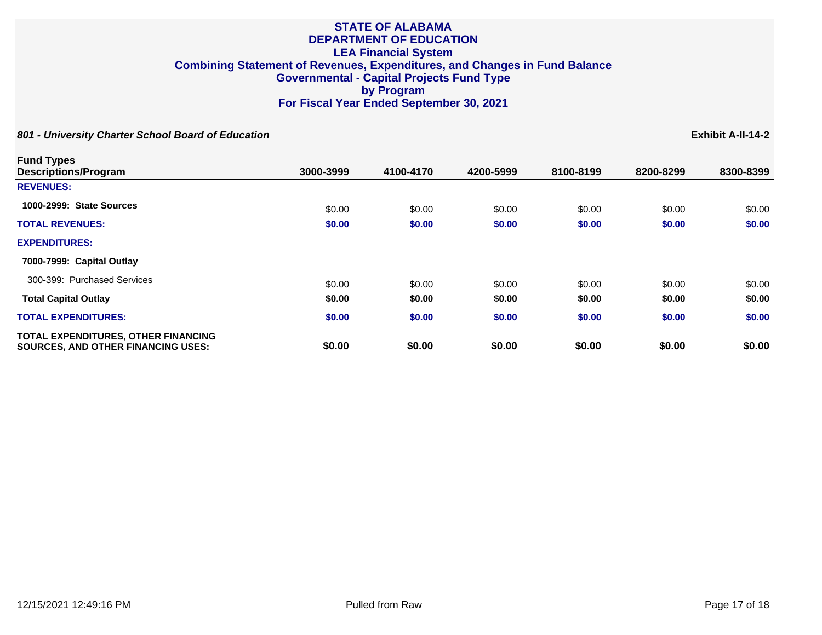**801 - University Charter School Board of Education Exhibit A-II-14-2**

**Fund Types Descriptions/Program 3000-3999 4100-4170 4200-5999 8100-8199 8200-8299 8300-8399 REVENUES: 1000-2999: State Sources 60.00** \$0.00 \$0.00 \$0.00 \$0.00 \$0.00 \$0.00 \$0.00 \$0.00 \$0.00 \$0.00 **TOTAL REVENUES: \$0.00 \$0.00 \$0.00 \$0.00 \$0.00 \$0.00 EXPENDITURES: 7000-7999: Capital Outlay** 300-399: Purchased Services 60.00 \$0.00 \$0.00 \$0.00 \$0.00 \$0.00 \$0.00 \$0.00 \$0.00 \$0.00 **Total Capital Outlay \$0.00 \$0.00 \$0.00 \$0.00 \$0.00 \$0.00 TOTAL EXPENDITURES: \$0.00 \$0.00 \$0.00 \$0.00 \$0.00 \$0.00 TOTAL EXPENDITURES, OTHER FINANCING SOURCES, AND OTHER FINANCING USES: \$0.00 \$0.00 \$0.00 \$0.00 \$0.00 \$0.00**